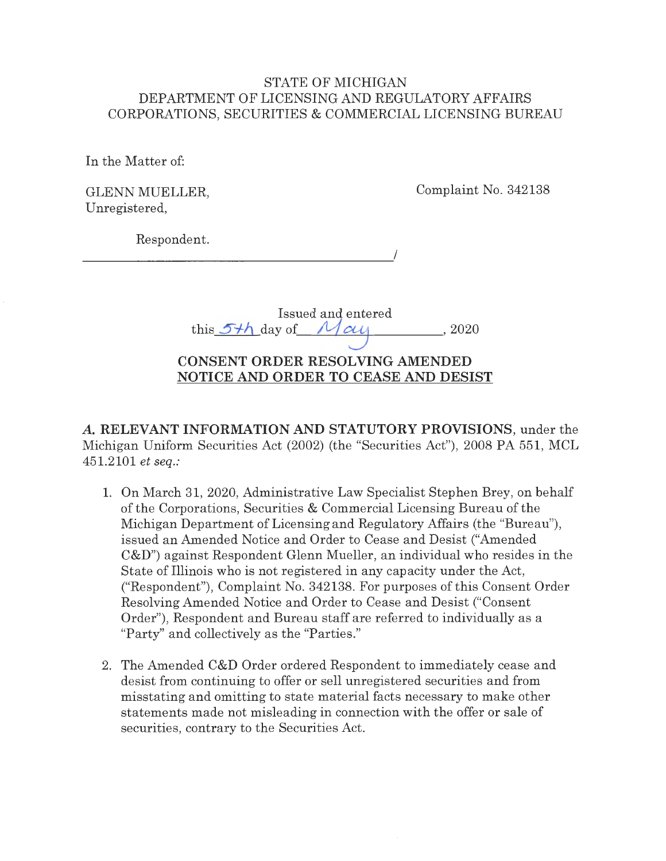## STATE OF MICHIGAN DEPARTMENT OF LICENSING AND REGULATORY AFFAIRS CORPORATIONS, SECURITIES & COMMERCIAL LICENSING BUREAU

In the Matter of:

GLENN MUELLER, Unregistered,

Complaint No. 342138

Respondent.

 $\overline{\phantom{a}}$ 

|                                | Issued and entered |       |
|--------------------------------|--------------------|-------|
| this $5+h$ day of $M \alpha u$ |                    | -2020 |

# **CONSENT ORDER RESOLVING AMENDED NOTICE AND ORDER TO CEASE AND DESIST**

*A.* **RELEVANT INFORMATION AND STATUTORY PROVISIONS,** under the Michigan Uniform Securities Act (2002) (the "Securities Act"), 2008 PA 551, MCL 451.2101 *et seq.:* 

- 1. On March 31, 2020, Administrative Law Specialist Stephen Brey, on behalf of the Corporations, Securities & Commercial Licensing Bureau of the Michigan Department of Licensing and Regulatory Affairs (the "Bureau"), issued an Amended Notice and Order to Cease and Desist ("Amended C&D") against Respondent Glenn Mueller, an individual who resides in the State of Illinois who is not registered in any capacity under the Act, ("Respondent"), Complaint No. 342138. For purposes of this Consent Order Resolving Amended Notice and Order to Cease and Desist ("Consent Order"), Respondent and Bureau staff are referred to individually as a "Party" and collectively as the "Parties."
- 2. The Amended C&D Order ordered Respondent to immediately cease and desist from continuing to offer or sell unregistered securities and from misstating and omitting to state material facts necessary to make other statements made not misleading in connection with the offer or sale of securities, contrary to the Securities Act.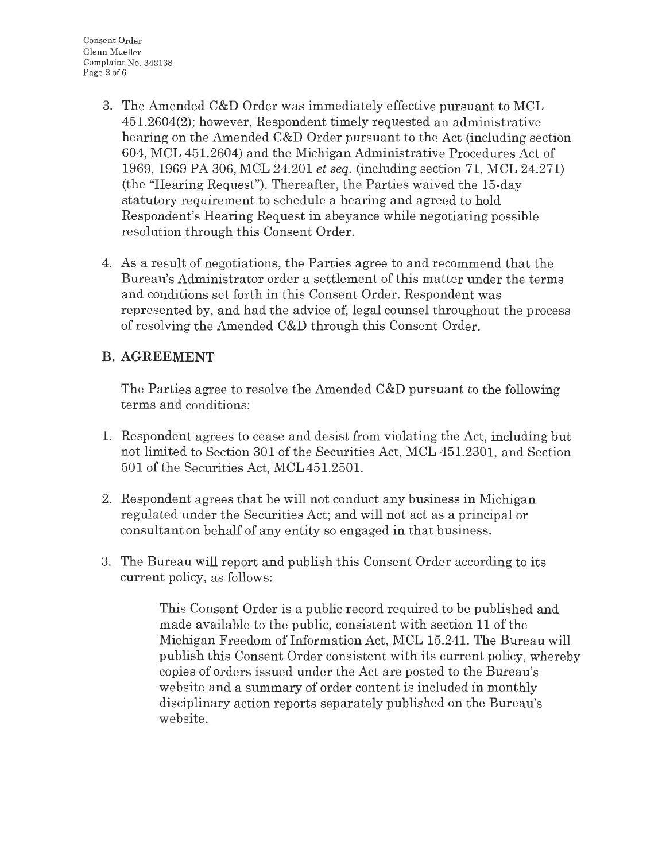- 3. The Amended C&D Order was immediately effective pursuant to MCL 451.2604(2); however, Respondent timely requested an administrative hearing on the Amended C&D Order pursuant to the Act (including section 604, MCL 451.2604) and the Michigan Administrative Procedures Act of 1969, 1969 PA 306, MCL 24.201 *et seq.* (including section 71, MCL 24.271) (the "Hearing Request"). Thereafter, the Parties waived the 15-day statutory requirement to schedule a hearing and agreed to hold Respondent's Hearing Request in abeyance while negotiating possible resolution through this Consent Order.
- 4. As a result of negotiations, the Parties agree to and recommend that the Bureau's Administrator order a settlement of this matter under the terms and conditions set forth in this Consent Order. Respondent was represented by, and had the advice of, legal counsel throughout the process of resolving the Amended C&D through this Consent Order.

# **B. AGREEMENT**

The Parties agree to resolve the Amended C&D pursuant to the following terms and conditions:

- 1. Respondent agrees to cease and desist from violating the Act, including but not limited to Section 301 of the Securities Act, MCL 451.2301, and Section 501 of the Securities Act, MCL 451.2501.
- 2. Respondent agrees that he will not conduct any business in Michigan regulated under the Securities Act; and will not act as a principal or consultant on behalf of any entity so engaged in that business.
- 3. The Bureau will report and publish this Consent Order according to its current policy, as follows:

This Consent Order is a public record required to be published and made available to the public, consistent with section 11 of the Michigan Freedom of Information Act, MCL 15.241. The Bureau will publish this Consent Order consistent with its current policy, whereby copies of orders issued under the Act are posted to the Bureau's website and a summary of order content is included in monthly disciplinary action reports separately published on the Bureau's website.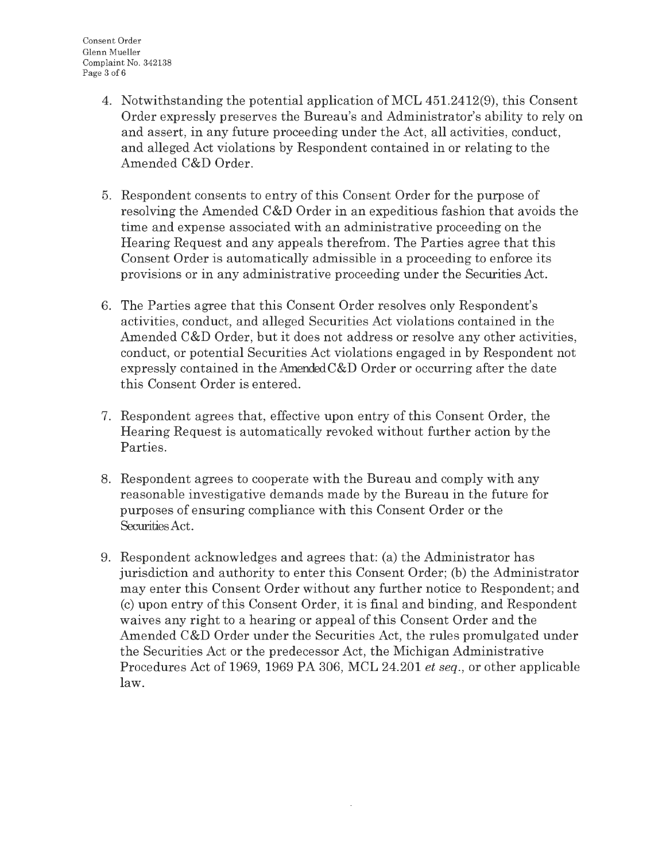- 4. Notwithstanding the potential application of MCL 451.2412(9), this Consent Order expressly preserves the Bureau's and Administrator's ability to rely on and assert, in any future proceeding under the Act, all activities, conduct, and alleged Act violations by Respondent contained in or relating to the Amended C&D Order.
- 5. Respondent consents to entry of this Consent Order for the purpose of resolving the Amended C&D Order in an expeditious fashion that avoids the time and expense associated with an administrative proceeding on the Hearing Request and any appeals therefrom. The Parties agree that this Consent Order is automatically admissible in a proceeding to enforce its provisions or in any administrative proceeding under the Securities Act.
- 6. The Parties agree that this Consent Order resolves only Respondent's activities, conduct, and alleged Securities Act violations contained in the Amended C&D Order, but it does not address or resolve any other activities, conduct, or potential Securities Act violations engaged in by Respondent not expressly contained in the Amended $C&D$  Order or occurring after the date this Consent Order is entered.
- 7. Respondent agrees that, effective upon entry of this Consent Order, the Hearing Request is automatically revoked without further action by the Parties.
- 8. Respondent agrees to cooperate with the Bureau and comply with any reasonable investigative demands made by the Bureau in the future for purposes of ensuring compliance with this Consent Order or the Securities Act.
- 9. Respondent acknowledges and agrees that: (a) the Administrator has jurisdiction and authority to enter this Consent Order; (b) the Administrator may enter this Consent Order without any further notice to Respondent; and (c) upon entry of this Consent Order, it is final and binding, and Respondent waives any right to a hearing or appeal of this Consent Order and the Amended C&D Order under the Securities Act, the rules promulgated under the Securities Act or the predecessor Act, the Michigan Administrative Procedures Act of 1969, 1969 PA 306, MCL 24.201 *et seq.,* or other applicable law.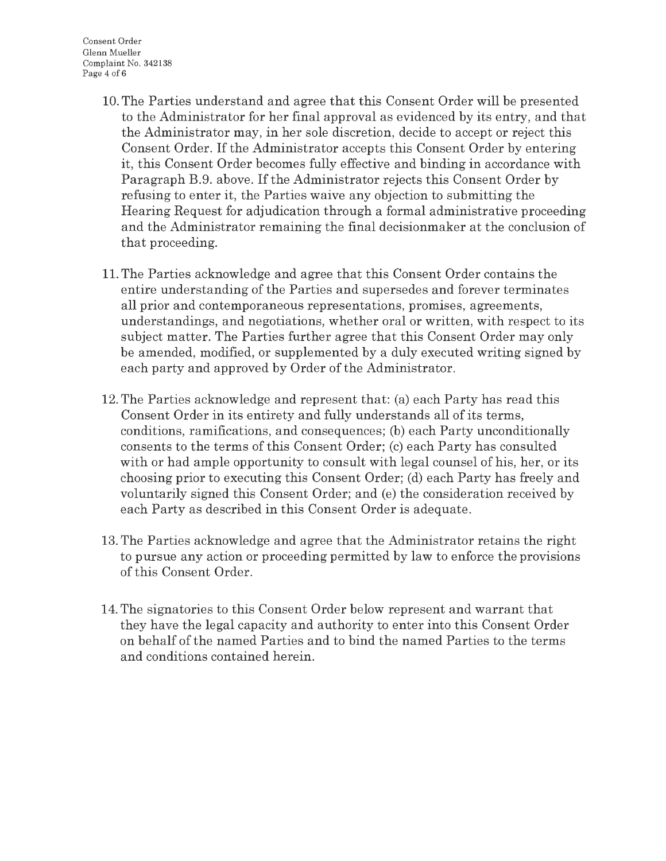- 10. The Parties understand and agree that this Consent Order will be presented to the Administrator for her final approval as evidenced by its entry, and that the Administrator may, in her sole discretion, decide to accept or reject this Consent Order. If the Administrator accepts this Consent Order by entering it, this Consent Order becomes fully effective and binding in accordance with Paragraph B.9. above. If the Administrator rejects this Consent Order by refusing to enter it, the Parties waive any objection to submitting the Hearing Request for adjudication through a formal administrative proceeding and the Administrator remaining the final decisionmaker at the conclusion of that proceeding.
- 11. The Parties acknowledge and agree that this Consent Order contains the entire understanding of the Parties and supersedes and forever terminates all prior and contemporaneous representations, promises, agreements, understandings, and negotiations, whether oral or written, with respect to its subject matter. The Parties further agree that this Consent Order may only be amended, modified, or supplemented by a duly executed writing signed by each party and approved by Order of the Administrator.
- 12. The Parties acknowledge and represent that: (a) each Party has read this Consent Order in its entirety and fully understands all of its terms, conditions, ramifications, and consequences; (b) each Party unconditionally consents to the terms of this Consent Order; (c) each Party has consulted with or had ample opportunity to consult with legal counsel of his, her, or its choosing prior to executing this Consent Order; (d) each Party has freely and voluntarily signed this Consent Order; and (e) the consideration received by each Party as described in this Consent Order is adequate.
- 13. The Parties acknowledge and agree that the Administrator retains the right to pursue any action or proceeding permitted by law to enforce the provisions of this Consent Order.
- 14. The signatories to this Consent Order below represent and warrant that they have the legal capacity and authority to enter into this Consent Order on behalf of the named Parties and to bind the named Parties to the terms and conditions contained herein.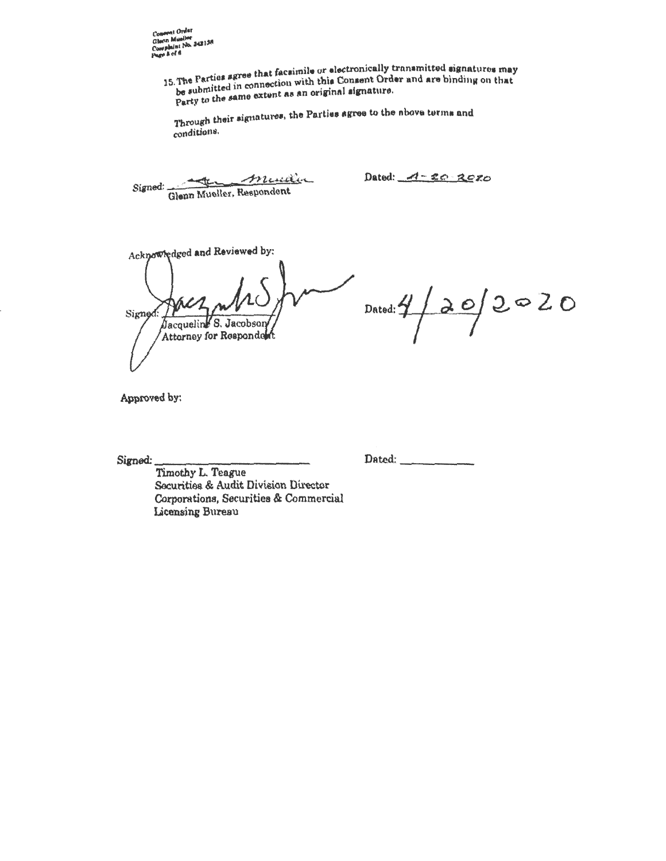**ANT 30** 

15. The Parties agree that facsimile or electronically transmitted signatures may The Fartus exception with this Consent Order and are binding on that be submitted in connection with this Consent<br>be submitted in connection with this Consent Order and are binding on that pe summers in the extent as an original signature.

Through their signatures, the Parties agree to the nbove turms and conditions.

Signed: Glenn Mueller, Respondent

Dated:  $-4-20-20$ 

Acknowledged and Reviewed by: Signeo  $\overline{b}$ acqueling S. Jacobson Attorney for Responde

 $D$ ated:  $\frac{4}{2}$   $20$   $20$ 

Approved hr,

Dated: ------

Signed:  $\frac{1}{\text{Timothy L. Teague}}$ Securities & Audit Division Director Corporations, Securities & Commercial Licensing Bureau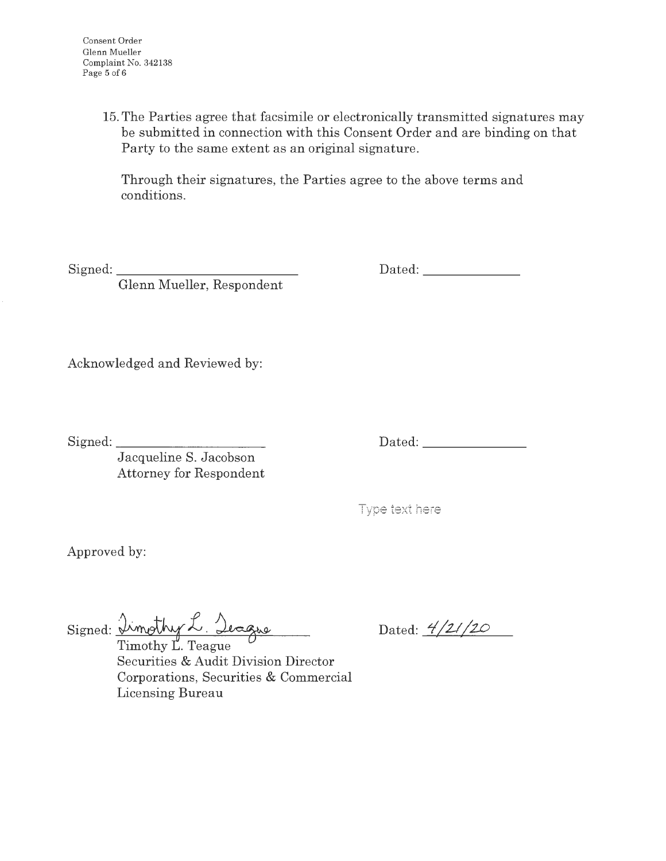15. The Parties agree that facsimile or electronically transmitted signatures may be submitted in connection with this Consent Order and are binding on that Party to the same extent as an original signature.

Through their signatures, the Parties agree to the above terms and conditions.

Signed:

Glenn Mueller, Respondent

Dated: \_\_\_\_\_\_\_\_\_\_\_\_\_\_\_

Acknowledged and Reviewed by:

Signed: \_\_\_\_\_\_\_\_\_ \_

Dated: \_\_\_\_\_\_\_\_\_\_\_\_\_\_\_\_\_

Jacqueline S. Jacobson Attorney for Respondent

|  |  |  | Type text here |
|--|--|--|----------------|
|--|--|--|----------------|

Approved by:

 $Signed: \mathcal{L}$ *morry*  $\sim$   $\mathcal{L}$ 

Timothy L. Teague Securities & Audit Division Director Corporations, Securities & Commercial Licensing Bureau

Dated:  $\frac{4}{21}$  /20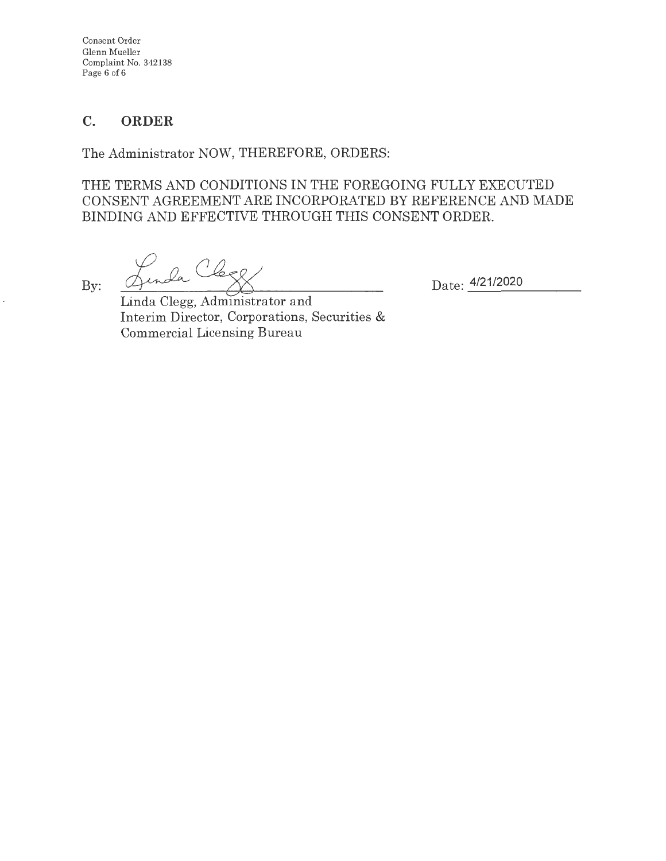Consent Order Glenn Mueller Complaint No. 342138 Page 6 of 6

## **C. ORDER**

The Administrator NOW, THEREFORE, ORDERS:

THE TERMS AND CONDITIONS IN THE FOREGOING FULLY EXECUTED CONSENT AGREEMENT ARE INCORPORATED BY REFERENCE AND MADE BINDING AND EFFECTIVE THROUGH THIS CONSENT ORDER.

By:

Date: 4/21/2020

Linda Clegg, Administrator and Interim Director, Corporations, Securities & Commercial Licensing Bureau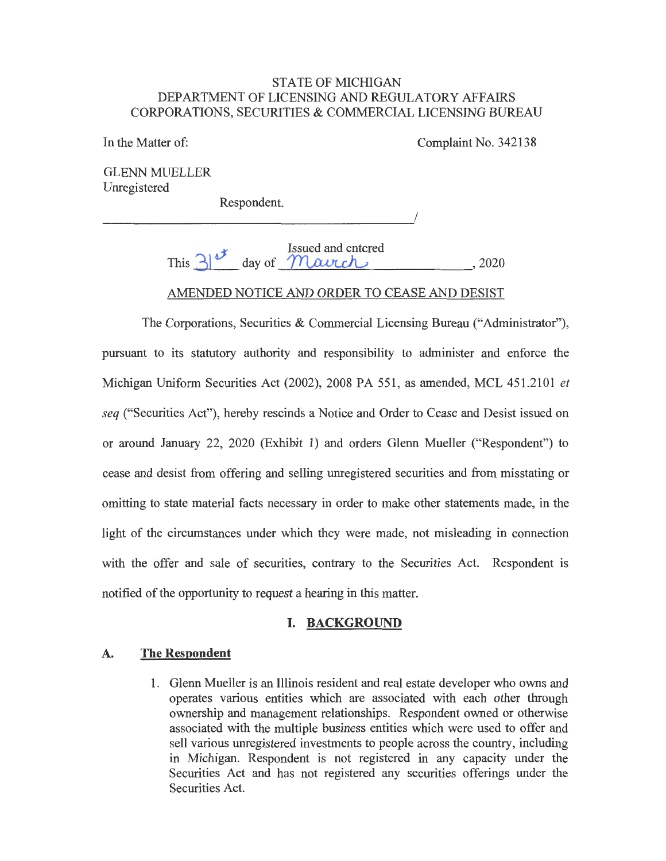#### STATE OF MICHIGAN DEPARTMENT OF LICENSING AND REGULATORY AFFAIRS CORPORATIONS, SECURITIES & COMMERCIAL LICENSING BUREAU

In the Matter of:

Complaint No. 342138

I

GLENN MUELLER Unregistered

Respondent.

0 Issued and entered This  $3^{\circ}$  day of Maurch . 2020

## AMENDED NOTICE AND ORDER TO CEASE AND DESIST

The Corporations, Securities & Commercial Licensing Bureau ("Administrator"), pursuant to its statutory authority and responsibility to administer and enforce the Michigan Uniform Securities Act (2002), 2008 PA 551, as amended, MCL 451.2101 *et seq* ("Securities Act"), hereby rescinds a Notice and Order to Cease and Desist issued on or around January 22, 2020 (Exhibit 1) and orders Glenn Mueller ("Respondent") to cease and desist from offering and selling unregistered securities and from misstating or omitting to state material facts necessary in order to make other statements made, in the light of the circumstances under which they were made, not misleading in connection with the offer and sale of securities, contrary to the Securities Act. Respondent is notified of the opportunity to request a hearing in this matter.

### **I. BACKGROUND**

### **A. The Respondent**

1. Glenn Mueller is an Illinois resident and real estate developer who owns and operates various entities which are associated with each other through ownership and management relationships. Respondent owned or otherwise associated with the multiple business entities which were used to offer and sell various unregistered investments to people across the country, including in Michigan. Respondent is not registered in any capacity under the Securities Act and has not registered any securities offerings under the Securities Act.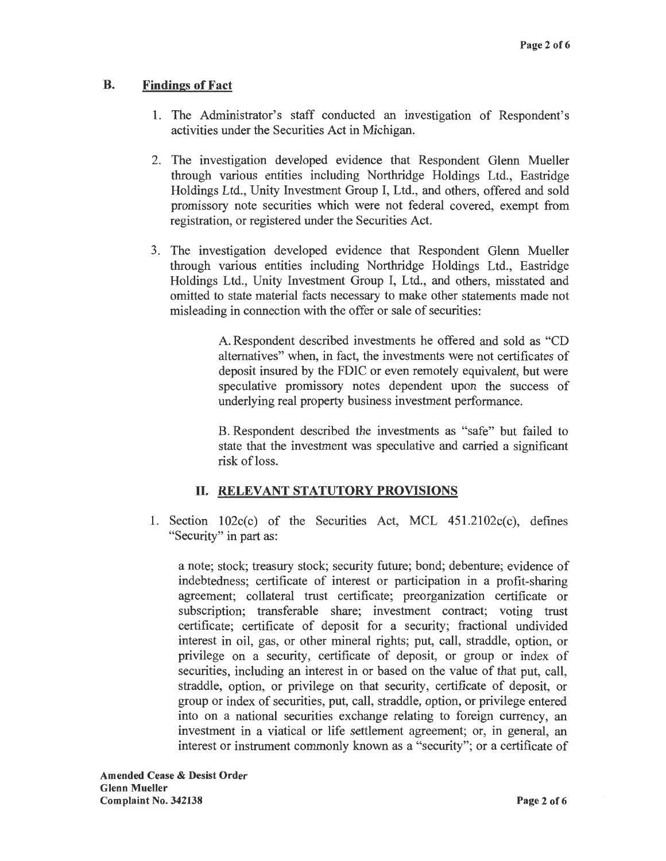## **B. Findings of Fact**

- 1. The Administrator's staff conducted an investigation of Respondent's activities under the Securities Act in Michigan.
- 2. The investigation developed evidence that Respondent Glenn Mueller through various entities including Northridge Holdings Ltd., Eastridge Holdings Ltd., Unity Investment Group I, Ltd., and others, offered and sold promissory note securities which were not federal covered, exempt from registration, or registered under the Securities Act.
- 3. The investigation developed evidence that Respondent Glenn Mueller through various entities including Northridge Holdings Ltd., Eastridge Holdings Ltd., Unity Investment Group I, Ltd., and others, misstated and omitted to state material facts necessary to make other statements made not misleading in connection with the offer or sale of securities:

A. Respondent described investments he offered and sold as "CD alternatives" when, in fact, the investments were not certificates of deposit insured by the FDIC or even remotely equivalent, but were speculative promissory notes dependent upon the success of underlying real property business investment performance.

B. Respondent described the investments as "safe" but failed to state that the investment was speculative and carried a significant risk of loss.

## II. **RELEVANT STATUTORY PROVISIONS**

1. Section  $102c(c)$  of the Securities Act, MCL  $451.2102c(c)$ , defines "Security" in part as:

a note; stock; treasury stock; security future; bond; debenture; evidence of indebtedness; certificate of interest or participation in a profit-sharing agreement; collateral trust certificate; preorganization certificate or subscription; transferable share; investment contract; voting trust certificate; certificate of deposit for a security; fractional undivided interest in oil, gas, or other mineral rights; put, call, straddle, option, or privilege on a security, certificate of deposit, or group or index of securities, including an interest in or based on the value of that put, call, straddle, option, or privilege on that security, certificate of deposit, or group or index of securities, put, call, straddle, option, or privilege entered into on a national securities exchange relating to foreign currency, an investment in a viatical or life settlement agreement; or, in general, an interest or instrument commonly known as a "security"; or a certificate of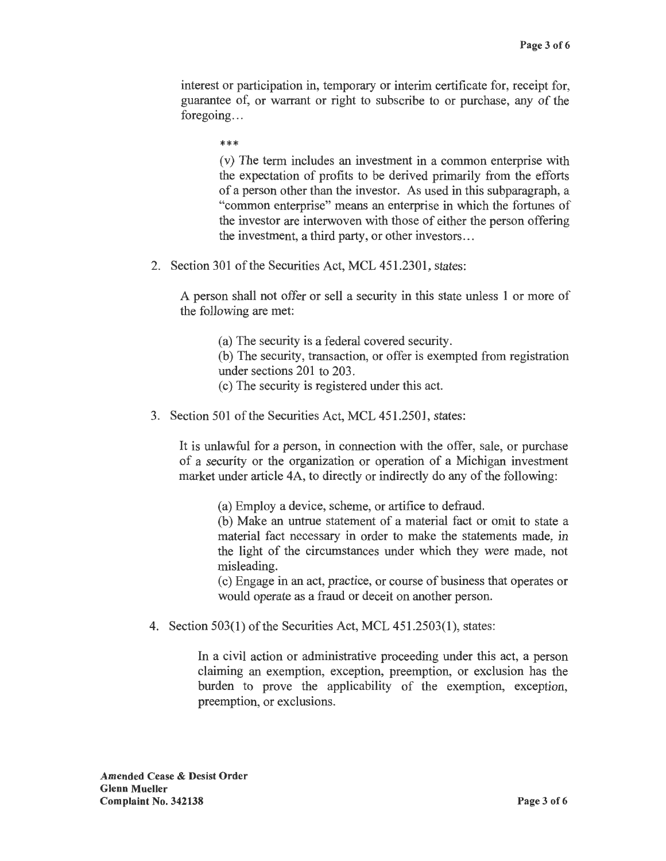interest or participation in, temporary or interim certificate for, receipt for, guarantee of, or warrant or right to subscribe to or purchase, any of the foregoing...

\*\*\*

(v) The term includes an investment in a common enterprise with the expectation of profits to be derived primarily from the efforts of a person other than the investor. As used in this subparagraph, a "common enterprise" means an enterprise in which the fortunes of the investor are interwoven with those of either the person offering the investment, a third party, or other investors ...

2. Section 301 of the Securities Act, MCL 451.2301, states:

A person shall not offer or sell a security in this state unless 1 or more of the following are met:

(a) The security is a federal covered security.

(b) The security, transaction, or offer is exempted from registration under sections 201 to 203.

- ( c) The security is registered under this act.
- 3. Section 501 of the Securities Act, MCL 451.2501, states:

It is unlawful for a person, in connection with the offer, sale, or purchase of a security or the organization or operation of a Michigan investment market under article 4A, to directly or indirectly do any of the following:

(a) Employ a device, scheme, or artifice to defraud.

(b) Make an untrue statement of a material fact or omit to state a material fact necessary in order to make the statements made, in the light of the circumstances under which they were made, not misleading.

( c) Engage in an act, practice, or course of business that operates or would operate as a fraud or deceit on another person.

4. Section 503(1) of the Securities Act, MCL 451.2503(1), states:

In a civil action or administrative proceeding under this act, a person claiming an exemption, exception, preemption, or exclusion has the burden to prove the applicability of the exemption, exception, preemption, or exclusions.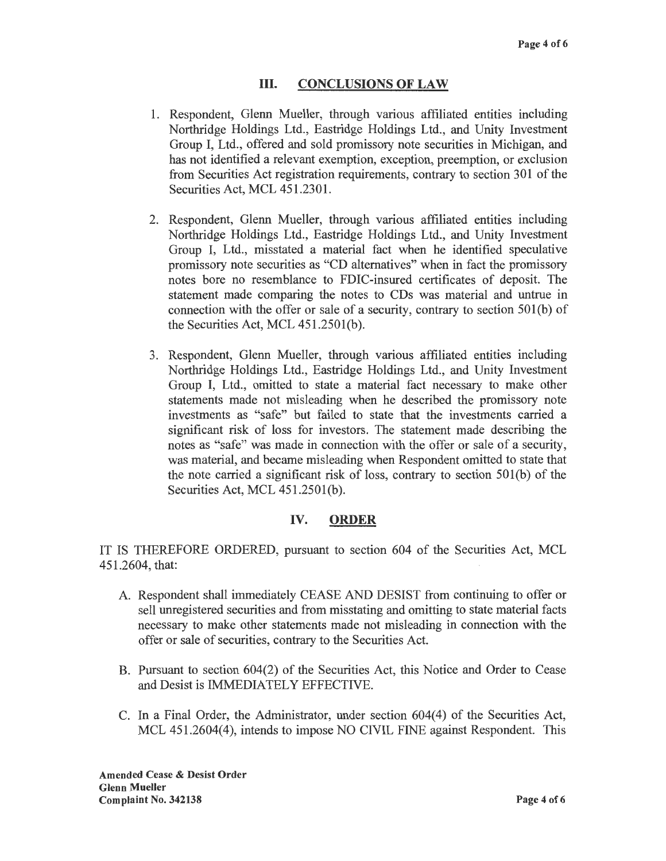### III. **CONCLUSIONS OF LAW**

- 1. Respondent, Glenn Mueller, through various affiliated entities including Northridge Holdings Ltd., Eastridge Holdings Ltd., and Unity Investment Group I, Ltd., offered and sold promissory note securities in Michigan, and has not identified a relevant exemption, exception, preemption, or exclusion from Securities Act registration requirements, contrary to section 301 of the Securities Act, MCL 451.2301.
- 2. Respondent, Glenn Mueller, through various affiliated entities including Northridge Holdings Ltd., Eastridge Holdings Ltd., and Unity Investment Group I, Ltd., misstated a material fact when he identified speculative promissory note securities as "CD alternatives" when in fact the promissory notes bore no resemblance to FDIC-insured certificates of deposit. The statement made comparing the notes to CDs was material and untrue in connection with the offer or sale of a security, contrary to section 501(b) of the Securities Act, MCL 451.2501(b).
- 3. Respondent, Glenn Mueller, through various affiliated entities including Northridge Holdings Ltd., Eastridge Holdings Ltd., and Unity Investment Group I, Ltd., omitted to state a material fact necessary to make other statements made not misleading when he described the promissory note investments as "safe" but failed to state that the investments carried a significant risk of loss for investors. The statement made describing the notes as "safe" was made in connection with the offer or sale of a security, was material, and became misleading when Respondent omitted to state that the note carried a significant risk of loss, contrary to section 50l(b) of the Securities Act, MCL 451.2501(b).

### IV. **ORDER**

IT IS THEREFORE ORDERED, pursuant to section 604 of the Securities Act, MCL 451.2604, that:

- A. Respondent shall immediately CEASE AND DESIST from continuing to offer or sell unregistered securities and from misstating and omitting to state material facts necessary to make other statements made not misleading in connection with the offer or sale of securities, contrary to the Securities Act.
- B. Pursuant to section 604(2) of the Securities Act, this Notice and Order to Cease and Desist is IMMEDIATELY EFFECTIVE.
- C. In a Final Order, the Administrator, under section 604(4) of the Securities Act, MCL 451.2604(4), intends to impose NO CIVIL FINE against Respondent. This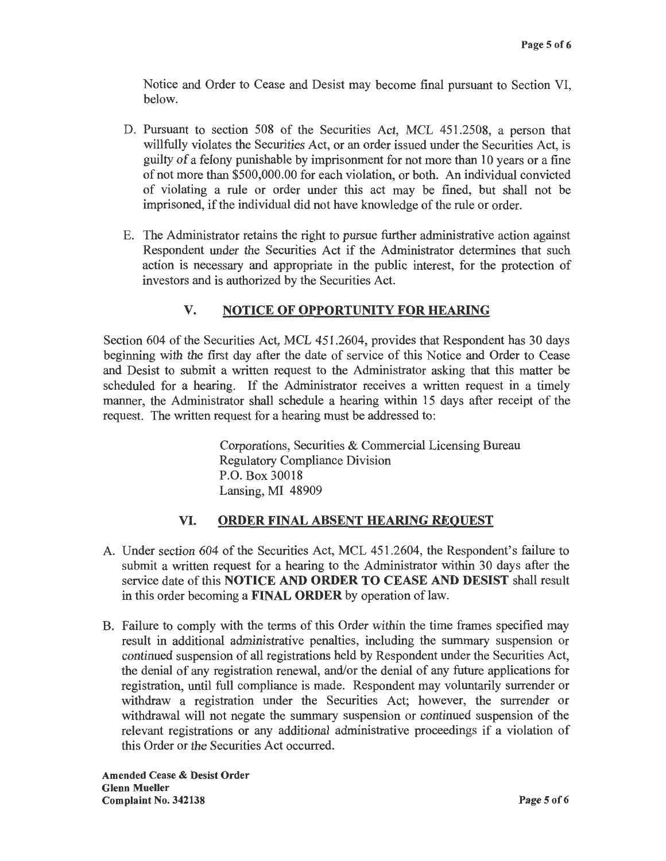Notice and Order to Cease and Desist may become final pursuant to Section VI, below.

- D. Pursuant to section 508 of the Securities Act, MCL 451.2508, a person that willfully violates the Securities Act, or an order issued under the Securities Act, is guilty of a felony punishable by imprisonment for not more than 10 years or a fine of not more than \$500,000.00 for each violation, or both. An individual convicted of violating a rule or order under this act may be fined, but shall not be imprisoned, if the individual did not have knowledge of the rule or order.
- E. The Administrator retains the right to pursue further administrative action against Respondent under the Securities Act if the Administrator determines that such action is necessary and appropriate in the public interest, for the protection of investors and is authorized by the Securities Act.

# **V. NOTICE OF OPPORTUNITY FOR HEARING**

Section 604 of the Securities Act, MCL 451.2604, provides that Respondent has 30 days beginning with the first day after the date of service of this Notice and Order to Cease and Desist to submit a written request to the Administrator asking that this matter be scheduled for a hearing. If the Administrator receives a written request in a timely manner, the Administrator shall schedule a hearing within 15 days after receipt of the request. The written request for a hearing must be addressed to:

> Corporations, Securities & Commercial Licensing Bureau Regulatory Compliance Division P.O. Box 30018 Lansing, MI 48909

## **VI. ORDER FINAL ABSENT HEARING REQUEST**

- A. Under section 604 of the Securities Act, MCL 451.2604, the Respondent's failure to submit a written request for a hearing to the Administrator within 30 days after the service date of this **NOTICE AND ORDER TO CEASE AND DESIST** shall result in this order becoming a **FINAL ORDER** by operation of law.
- B. Failure to comply with the terms of this Order within the time frames specified may result in additional administrative penalties, including the summary suspension or continued suspension of all registrations held by Respondent under the Securities Act, the denial of any registration renewal, and/or the denial of any future applications for registration, until full compliance is made. Respondent may voluntarily surrender or withdraw a registration under the Securities Act; however, the surrender or withdrawal will not negate the summary suspension or continued suspension of the relevant registrations or any additional administrative proceedings if a violation of this Order or the Securities Act occurred.